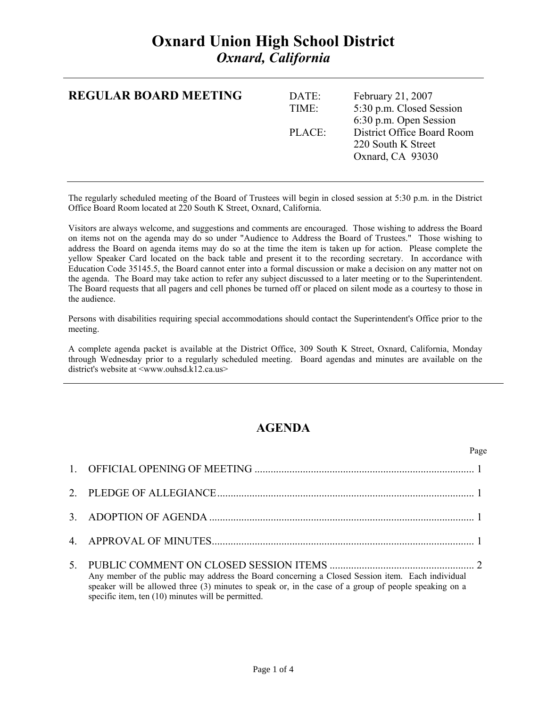## **Oxnard Union High School District**  *Oxnard, California*

| <b>REGULAR BOARD MEETING</b> | DATE:<br>TIME: | February 21, 2007<br>5:30 p.m. Closed Session<br>6:30 p.m. Open Session |
|------------------------------|----------------|-------------------------------------------------------------------------|
|                              | PLACE:         | District Office Board Room<br>220 South K Street<br>Oxnard, CA 93030    |

The regularly scheduled meeting of the Board of Trustees will begin in closed session at 5:30 p.m. in the District Office Board Room located at 220 South K Street, Oxnard, California.

Visitors are always welcome, and suggestions and comments are encouraged. Those wishing to address the Board on items not on the agenda may do so under "Audience to Address the Board of Trustees." Those wishing to address the Board on agenda items may do so at the time the item is taken up for action. Please complete the yellow Speaker Card located on the back table and present it to the recording secretary. In accordance with Education Code 35145.5, the Board cannot enter into a formal discussion or make a decision on any matter not on the agenda. The Board may take action to refer any subject discussed to a later meeting or to the Superintendent. The Board requests that all pagers and cell phones be turned off or placed on silent mode as a courtesy to those in the audience.

Persons with disabilities requiring special accommodations should contact the Superintendent's Office prior to the meeting.

A complete agenda packet is available at the District Office, 309 South K Street, Oxnard, California, Monday through Wednesday prior to a regularly scheduled meeting. Board agendas and minutes are available on the district's website at <www.ouhsd.k12.ca.us>

## **AGENDA**

|                                                                                                                                                                                                                                                                 | Page |
|-----------------------------------------------------------------------------------------------------------------------------------------------------------------------------------------------------------------------------------------------------------------|------|
|                                                                                                                                                                                                                                                                 |      |
|                                                                                                                                                                                                                                                                 |      |
|                                                                                                                                                                                                                                                                 |      |
|                                                                                                                                                                                                                                                                 |      |
| Any member of the public may address the Board concerning a Closed Session item. Each individual<br>speaker will be allowed three (3) minutes to speak or, in the case of a group of people speaking on a<br>specific item, ten (10) minutes will be permitted. |      |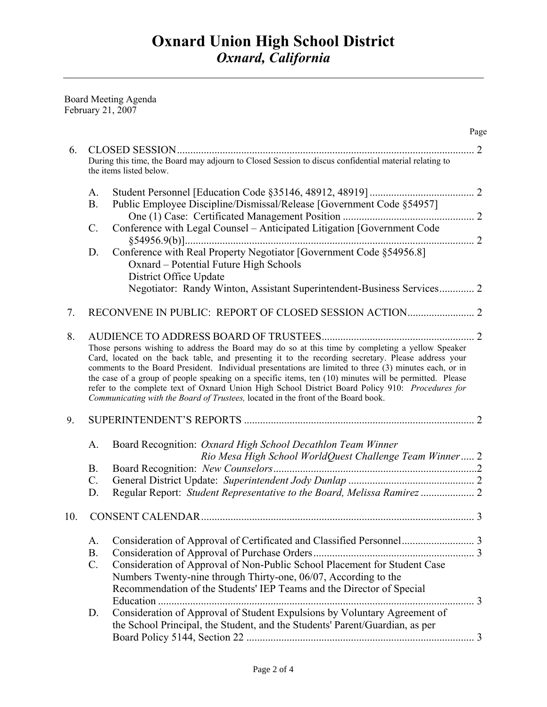Board Meeting Agenda February 21, 2007

|     |                 |                                                                                                                                                                                                                                                                                                                                                                                                                                                                                                                                                                                                                     | Page |
|-----|-----------------|---------------------------------------------------------------------------------------------------------------------------------------------------------------------------------------------------------------------------------------------------------------------------------------------------------------------------------------------------------------------------------------------------------------------------------------------------------------------------------------------------------------------------------------------------------------------------------------------------------------------|------|
| 6.  |                 | <b>CLOSED SESSION</b>                                                                                                                                                                                                                                                                                                                                                                                                                                                                                                                                                                                               | 2    |
|     |                 | During this time, the Board may adjourn to Closed Session to discus confidential material relating to<br>the items listed below.                                                                                                                                                                                                                                                                                                                                                                                                                                                                                    |      |
|     | A.              |                                                                                                                                                                                                                                                                                                                                                                                                                                                                                                                                                                                                                     |      |
|     | <b>B.</b>       | Public Employee Discipline/Dismissal/Release [Government Code §54957]                                                                                                                                                                                                                                                                                                                                                                                                                                                                                                                                               |      |
|     | $\mathcal{C}$ . | Conference with Legal Counsel - Anticipated Litigation [Government Code                                                                                                                                                                                                                                                                                                                                                                                                                                                                                                                                             |      |
|     | D.              | Conference with Real Property Negotiator [Government Code §54956.8]<br>Oxnard - Potential Future High Schools                                                                                                                                                                                                                                                                                                                                                                                                                                                                                                       |      |
|     |                 | District Office Update<br>Negotiator: Randy Winton, Assistant Superintendent-Business Services 2                                                                                                                                                                                                                                                                                                                                                                                                                                                                                                                    |      |
| 7.  |                 |                                                                                                                                                                                                                                                                                                                                                                                                                                                                                                                                                                                                                     |      |
| 8.  |                 | Those persons wishing to address the Board may do so at this time by completing a yellow Speaker<br>Card, located on the back table, and presenting it to the recording secretary. Please address your<br>comments to the Board President. Individual presentations are limited to three (3) minutes each, or in<br>the case of a group of people speaking on a specific items, ten (10) minutes will be permitted. Please<br>refer to the complete text of Oxnard Union High School District Board Policy 910: Procedures for<br>Communicating with the Board of Trustees, located in the front of the Board book. |      |
| 9.  |                 |                                                                                                                                                                                                                                                                                                                                                                                                                                                                                                                                                                                                                     |      |
|     | A.              | Board Recognition: Oxnard High School Decathlon Team Winner<br>Rio Mesa High School WorldQuest Challenge Team Winner 2                                                                                                                                                                                                                                                                                                                                                                                                                                                                                              |      |
|     | <b>B.</b>       |                                                                                                                                                                                                                                                                                                                                                                                                                                                                                                                                                                                                                     |      |
|     | $C$ .           |                                                                                                                                                                                                                                                                                                                                                                                                                                                                                                                                                                                                                     |      |
|     | D.              | Regular Report: Student Representative to the Board, Melissa Ramirez  2                                                                                                                                                                                                                                                                                                                                                                                                                                                                                                                                             |      |
| 10. |                 |                                                                                                                                                                                                                                                                                                                                                                                                                                                                                                                                                                                                                     |      |
|     | A.              |                                                                                                                                                                                                                                                                                                                                                                                                                                                                                                                                                                                                                     |      |
|     | <b>B.</b>       |                                                                                                                                                                                                                                                                                                                                                                                                                                                                                                                                                                                                                     |      |
|     | $C$ .           | Consideration of Approval of Non-Public School Placement for Student Case<br>Numbers Twenty-nine through Thirty-one, 06/07, According to the<br>Recommendation of the Students' IEP Teams and the Director of Special                                                                                                                                                                                                                                                                                                                                                                                               |      |
|     |                 |                                                                                                                                                                                                                                                                                                                                                                                                                                                                                                                                                                                                                     |      |
|     | D.              | Consideration of Approval of Student Expulsions by Voluntary Agreement of<br>the School Principal, the Student, and the Students' Parent/Guardian, as per                                                                                                                                                                                                                                                                                                                                                                                                                                                           |      |
|     |                 |                                                                                                                                                                                                                                                                                                                                                                                                                                                                                                                                                                                                                     |      |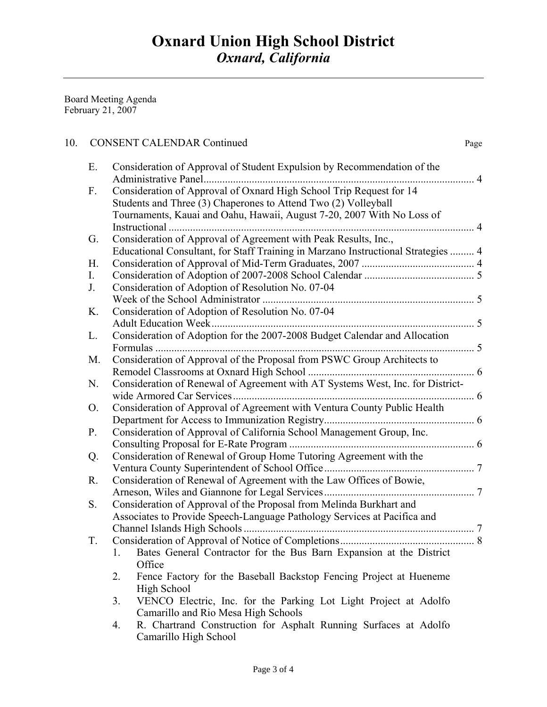Board Meeting Agenda February 21, 2007

## 10. CONSENT CALENDAR Continued Page

| Е.             | Consideration of Approval of Student Expulsion by Recommendation of the           |  |
|----------------|-----------------------------------------------------------------------------------|--|
|                | Administrative Panel<br>. 4                                                       |  |
| $F_{\cdot}$    | Consideration of Approval of Oxnard High School Trip Request for 14               |  |
|                | Students and Three (3) Chaperones to Attend Two (2) Volleyball                    |  |
|                | Tournaments, Kauai and Oahu, Hawaii, August 7-20, 2007 With No Loss of            |  |
|                | Instructional.                                                                    |  |
| G.             | Consideration of Approval of Agreement with Peak Results, Inc.,                   |  |
|                | Educational Consultant, for Staff Training in Marzano Instructional Strategies  4 |  |
| H.             |                                                                                   |  |
| I.             |                                                                                   |  |
| J.             | Consideration of Adoption of Resolution No. 07-04                                 |  |
|                |                                                                                   |  |
| K.             | Consideration of Adoption of Resolution No. 07-04                                 |  |
|                | <b>Adult Education Week.</b>                                                      |  |
| L.             | Consideration of Adoption for the 2007-2008 Budget Calendar and Allocation        |  |
|                |                                                                                   |  |
| M.             | Consideration of Approval of the Proposal from PSWC Group Architects to           |  |
|                |                                                                                   |  |
| N.             | Consideration of Renewal of Agreement with AT Systems West, Inc. for District-    |  |
|                |                                                                                   |  |
| O <sub>1</sub> | Consideration of Approval of Agreement with Ventura County Public Health          |  |
|                |                                                                                   |  |
| P.             | Consideration of Approval of California School Management Group, Inc.             |  |
|                |                                                                                   |  |
| Q.             | Consideration of Renewal of Group Home Tutoring Agreement with the                |  |
|                |                                                                                   |  |
| R.             | Consideration of Renewal of Agreement with the Law Offices of Bowie,              |  |
|                |                                                                                   |  |
| S.             | Consideration of Approval of the Proposal from Melinda Burkhart and               |  |
|                | Associates to Provide Speech-Language Pathology Services at Pacifica and          |  |
|                |                                                                                   |  |
| T.             |                                                                                   |  |
|                | Bates General Contractor for the Bus Barn Expansion at the District<br>1.         |  |
|                | Office                                                                            |  |
|                | Fence Factory for the Baseball Backstop Fencing Project at Hueneme<br>2.          |  |
|                | High School                                                                       |  |
|                | VENCO Electric, Inc. for the Parking Lot Light Project at Adolfo<br>3.            |  |
|                | Camarillo and Rio Mesa High Schools                                               |  |
|                | R. Chartrand Construction for Asphalt Running Surfaces at Adolfo<br>4.            |  |
|                | Camarillo High School                                                             |  |